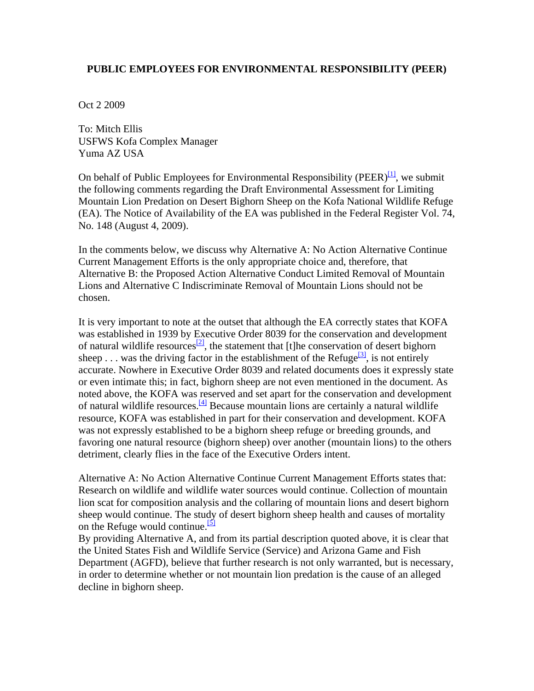## <span id="page-0-0"></span>**PUBLIC EMPLOYEES FOR ENVIRONMENTAL RESPONSIBILITY (PEER)**

Oct 2 2009

To: Mitch Ellis USFWS Kofa Complex Manager Yuma AZ USA

On behalf of Public Employees for Environmental Responsibility (PEER) $\left[1\right]$ , we submit the following comments regarding the Draft Environmental Assessment for Limiting Mountain Lion Predation on Desert Bighorn Sheep on the Kofa National Wildlife Refuge (EA). The Notice of Availability of the EA was published in the Federal Register Vol. 74, No. 148 (August 4, 2009).

In the comments below, we discuss why Alternative A: No Action Alternative Continue Current Management Efforts is the only appropriate choice and, therefore, that Alternative B: the Proposed Action Alternative Conduct Limited Removal of Mountain Lions and Alternative C Indiscriminate Removal of Mountain Lions should not be chosen.

It is very important to note at the outset that although the EA correctly states that KOFA was established in 1939 by Executive Order 8039 for the conservation and development of natural wildlife resources<sup>[2]</sup>, the statement that [t]he conservation of desert bighorn sheep ... was the driving factor in the establishment of the Refuge<sup>[3]</sup>, is not entirely accurate. Nowhere in Executive Order 8039 and related documents does it expressly state or even intimate this; in fact, bighorn sheep are not even mentioned in the document. As noted above, the KOFA was reserved and set apart for the conservation and development of natural wildlife resources[.\[4\]](#page-0-0) Because mountain lions are certainly a natural wildlife resource, KOFA was established in part for their conservation and development. KOFA was not expressly established to be a bighorn sheep refuge or breeding grounds, and favoring one natural resource (bighorn sheep) over another (mountain lions) to the others detriment, clearly flies in the face of the Executive Orders intent.

Alternative A: No Action Alternative Continue Current Management Efforts states that: Research on wildlife and wildlife water sources would continue. Collection of mountain lion scat for composition analysis and the collaring of mountain lions and desert bighorn sheep would continue. The study of desert bighorn sheep health and causes of mortality on the Refuge would continue. $\frac{5}{5}$ 

By providing Alternative A, and from its partial description quoted above, it is clear that the United States Fish and Wildlife Service (Service) and Arizona Game and Fish Department (AGFD), believe that further research is not only warranted, but is necessary, in order to determine whether or not mountain lion predation is the cause of an alleged decline in bighorn sheep.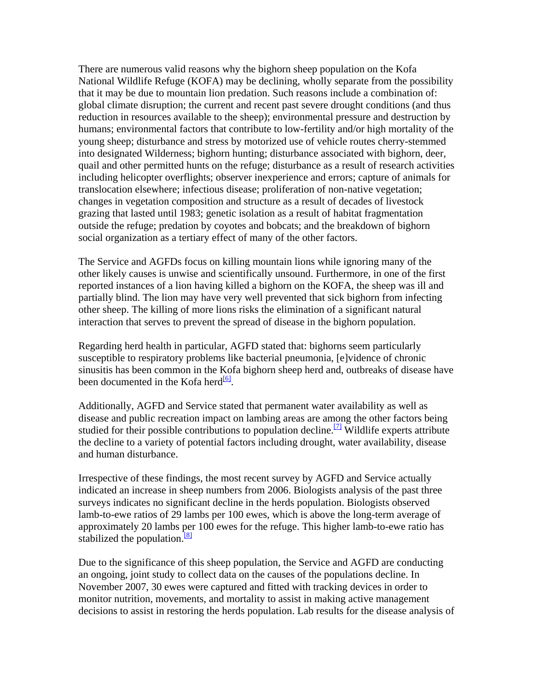There are numerous valid reasons why the bighorn sheep population on the Kofa National Wildlife Refuge (KOFA) may be declining, wholly separate from the possibility that it may be due to mountain lion predation. Such reasons include a combination of: global climate disruption; the current and recent past severe drought conditions (and thus reduction in resources available to the sheep); environmental pressure and destruction by humans; environmental factors that contribute to low-fertility and/or high mortality of the young sheep; disturbance and stress by motorized use of vehicle routes cherry-stemmed into designated Wilderness; bighorn hunting; disturbance associated with bighorn, deer, quail and other permitted hunts on the refuge; disturbance as a result of research activities including helicopter overflights; observer inexperience and errors; capture of animals for translocation elsewhere; infectious disease; proliferation of non-native vegetation; changes in vegetation composition and structure as a result of decades of livestock grazing that lasted until 1983; genetic isolation as a result of habitat fragmentation outside the refuge; predation by coyotes and bobcats; and the breakdown of bighorn social organization as a tertiary effect of many of the other factors.

The Service and AGFDs focus on killing mountain lions while ignoring many of the other likely causes is unwise and scientifically unsound. Furthermore, in one of the first reported instances of a lion having killed a bighorn on the KOFA, the sheep was ill and partially blind. The lion may have very well prevented that sick bighorn from infecting other sheep. The killing of more lions risks the elimination of a significant natural interaction that serves to prevent the spread of disease in the bighorn population.

Regarding herd health in particular, AGFD stated that: bighorns seem particularly susceptible to respiratory problems like bacterial pneumonia, [e]vidence of chronic sinusitis has been common in the Kofa bighorn sheep herd and, outbreaks of disease have been documented in the Kofa herd $\frac{6}{6}$ .

Additionally, AGFD and Service stated that permanent water availability as well as disease and public recreation impact on lambing areas are among the other factors being studied for their possible contributions to population decline.<sup>[7]</sup> Wildlife experts attribute the decline to a variety of potential factors including drought, water availability, disease and human disturbance.

Irrespective of these findings, the most recent survey by AGFD and Service actually indicated an increase in sheep numbers from 2006. Biologists analysis of the past three surveys indicates no significant decline in the herds population. Biologists observed lamb-to-ewe ratios of 29 lambs per 100 ewes, which is above the long-term average of approximately 20 lambs per 100 ewes for the refuge. This higher lamb-to-ewe ratio has stabilized the population.<sup>[\[8\]](#page-0-0)</sup>

Due to the significance of this sheep population, the Service and AGFD are conducting an ongoing, joint study to collect data on the causes of the populations decline. In November 2007, 30 ewes were captured and fitted with tracking devices in order to monitor nutrition, movements, and mortality to assist in making active management decisions to assist in restoring the herds population. Lab results for the disease analysis of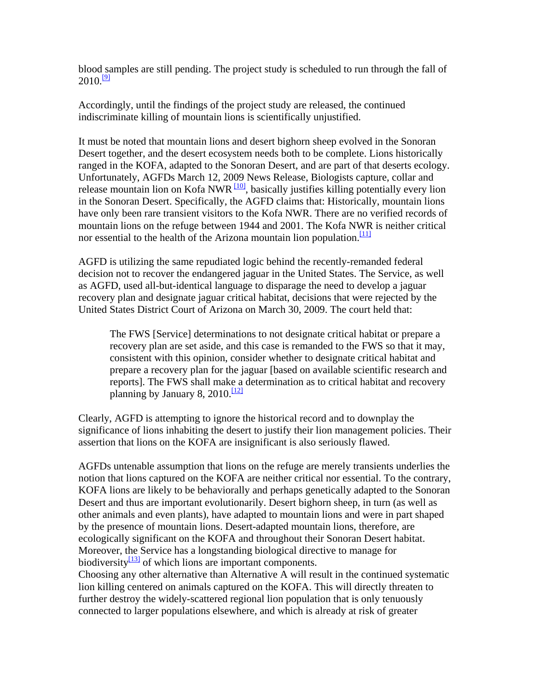blood samples are still pending. The project study is scheduled to run through the fall of  $2010.$ <sup>[\[9\]](#page-0-0)</sup>

Accordingly, until the findings of the project study are released, the continued indiscriminate killing of mountain lions is scientifically unjustified.

It must be noted that mountain lions and desert bighorn sheep evolved in the Sonoran Desert together, and the desert ecosystem needs both to be complete. Lions historically ranged in the KOFA, adapted to the Sonoran Desert, and are part of that deserts ecology. Unfortunately, AGFDs March 12, 2009 News Release, Biologists capture, collar and release mountain lion on Kofa NWR  $\frac{100}{100}$ , basically justifies killing potentially every lion in the Sonoran Desert. Specifically, the AGFD claims that: Historically, mountain lions have only been rare transient visitors to the Kofa NWR. There are no verified records of mountain lions on the refuge between 1944 and 2001. The Kofa NWR is neither critical nor essential to the health of the Arizona mountain lion population. $\frac{111}{111}$ 

AGFD is utilizing the same repudiated logic behind the recently-remanded federal decision not to recover the endangered jaguar in the United States. The Service, as well as AGFD, used all-but-identical language to disparage the need to develop a jaguar recovery plan and designate jaguar critical habitat, decisions that were rejected by the United States District Court of Arizona on March 30, 2009. The court held that:

The FWS [Service] determinations to not designate critical habitat or prepare a recovery plan are set aside, and this case is remanded to the FWS so that it may, consistent with this opinion, consider whether to designate critical habitat and prepare a recovery plan for the jaguar [based on available scientific research and reports]. The FWS shall make a determination as to critical habitat and recovery planning by January 8, 2010. $\frac{12}{2}$ 

Clearly, AGFD is attempting to ignore the historical record and to downplay the significance of lions inhabiting the desert to justify their lion management policies. Their assertion that lions on the KOFA are insignificant is also seriously flawed.

AGFDs untenable assumption that lions on the refuge are merely transients underlies the notion that lions captured on the KOFA are neither critical nor essential. To the contrary, KOFA lions are likely to be behaviorally and perhaps genetically adapted to the Sonoran Desert and thus are important evolutionarily. Desert bighorn sheep, in turn (as well as other animals and even plants), have adapted to mountain lions and were in part shaped by the presence of mountain lions. Desert-adapted mountain lions, therefore, are ecologically significant on the KOFA and throughout their Sonoran Desert habitat. Moreover, the Service has a longstanding biological directive to manage for biodiversity $\frac{13}{3}$  of which lions are important components.

Choosing any other alternative than Alternative A will result in the continued systematic lion killing centered on animals captured on the KOFA. This will directly threaten to further destroy the widely-scattered regional lion population that is only tenuously connected to larger populations elsewhere, and which is already at risk of greater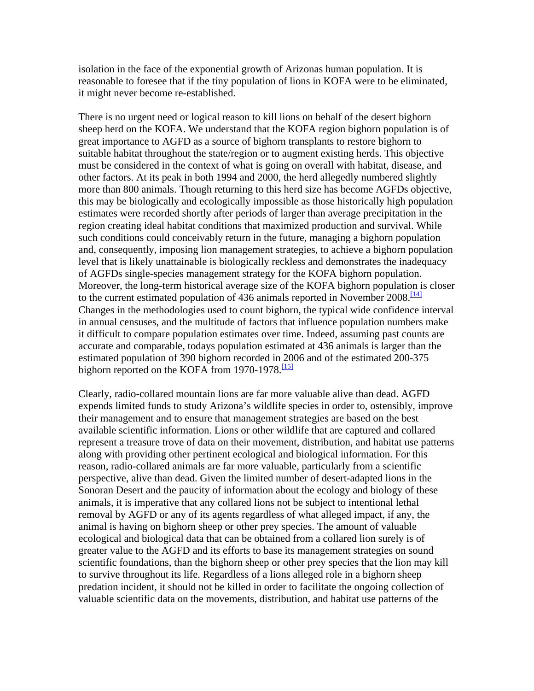isolation in the face of the exponential growth of Arizonas human population. It is reasonable to foresee that if the tiny population of lions in KOFA were to be eliminated, it might never become re-established.

There is no urgent need or logical reason to kill lions on behalf of the desert bighorn sheep herd on the KOFA. We understand that the KOFA region bighorn population is of great importance to AGFD as a source of bighorn transplants to restore bighorn to suitable habitat throughout the state/region or to augment existing herds. This objective must be considered in the context of what is going on overall with habitat, disease, and other factors. At its peak in both 1994 and 2000, the herd allegedly numbered slightly more than 800 animals. Though returning to this herd size has become AGFDs objective, this may be biologically and ecologically impossible as those historically high population estimates were recorded shortly after periods of larger than average precipitation in the region creating ideal habitat conditions that maximized production and survival. While such conditions could conceivably return in the future, managing a bighorn population and, consequently, imposing lion management strategies, to achieve a bighorn population level that is likely unattainable is biologically reckless and demonstrates the inadequacy of AGFDs single-species management strategy for the KOFA bighorn population. Moreover, the long-term historical average size of the KOFA bighorn population is closer to the current estimated population of 436 animals reported in November 2008.<sup>[\[14\]](#page-0-0)</sup> Changes in the methodologies used to count bighorn, the typical wide confidence interval in annual censuses, and the multitude of factors that influence population numbers make it difficult to compare population estimates over time. Indeed, assuming past counts are accurate and comparable, todays population estimated at 436 animals is larger than the estimated population of 390 bighorn recorded in 2006 and of the estimated 200-375 bighorn reported on the KOFA from 1970-1978. $\frac{115}{12}$ 

Clearly, radio-collared mountain lions are far more valuable alive than dead. AGFD expends limited funds to study Arizona's wildlife species in order to, ostensibly, improve their management and to ensure that management strategies are based on the best available scientific information. Lions or other wildlife that are captured and collared represent a treasure trove of data on their movement, distribution, and habitat use patterns along with providing other pertinent ecological and biological information. For this reason, radio-collared animals are far more valuable, particularly from a scientific perspective, alive than dead. Given the limited number of desert-adapted lions in the Sonoran Desert and the paucity of information about the ecology and biology of these animals, it is imperative that any collared lions not be subject to intentional lethal removal by AGFD or any of its agents regardless of what alleged impact, if any, the animal is having on bighorn sheep or other prey species. The amount of valuable ecological and biological data that can be obtained from a collared lion surely is of greater value to the AGFD and its efforts to base its management strategies on sound scientific foundations, than the bighorn sheep or other prey species that the lion may kill to survive throughout its life. Regardless of a lions alleged role in a bighorn sheep predation incident, it should not be killed in order to facilitate the ongoing collection of valuable scientific data on the movements, distribution, and habitat use patterns of the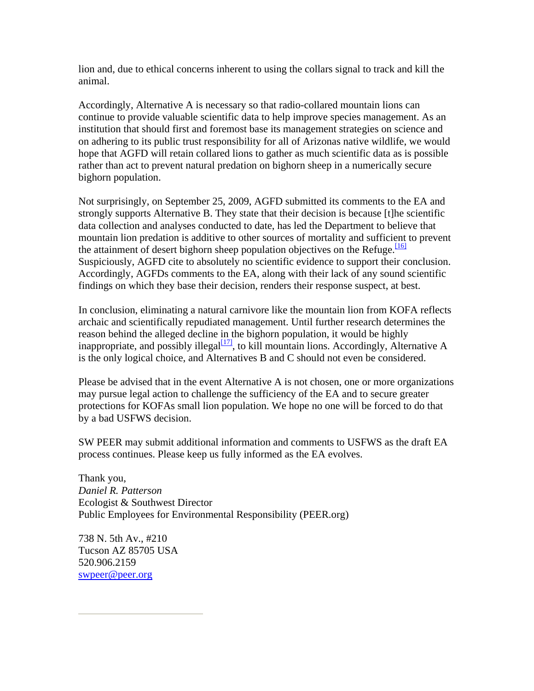lion and, due to ethical concerns inherent to using the collars signal to track and kill the animal.

Accordingly, Alternative A is necessary so that radio-collared mountain lions can continue to provide valuable scientific data to help improve species management. As an institution that should first and foremost base its management strategies on science and on adhering to its public trust responsibility for all of Arizonas native wildlife, we would hope that AGFD will retain collared lions to gather as much scientific data as is possible rather than act to prevent natural predation on bighorn sheep in a numerically secure bighorn population.

Not surprisingly, on September 25, 2009, AGFD submitted its comments to the EA and strongly supports Alternative B. They state that their decision is because [t]he scientific data collection and analyses conducted to date, has led the Department to believe that mountain lion predation is additive to other sources of mortality and sufficient to prevent the attainment of desert bighorn sheep population objectives on the Refuge.<sup>[\[16\]](#page-0-0)</sup> Suspiciously, AGFD cite to absolutely no scientific evidence to support their conclusion. Accordingly, AGFDs comments to the EA, along with their lack of any sound scientific findings on which they base their decision, renders their response suspect, at best.

In conclusion, eliminating a natural carnivore like the mountain lion from KOFA reflects archaic and scientifically repudiated management. Until further research determines the reason behind the alleged decline in the bighorn population, it would be highly inappropriate, and possibly illegal $\frac{[17]}{7}$ , to kill mountain lions. Accordingly, Alternative A is the only logical choice, and Alternatives B and C should not even be considered.

Please be advised that in the event Alternative A is not chosen, one or more organizations may pursue legal action to challenge the sufficiency of the EA and to secure greater protections for KOFAs small lion population. We hope no one will be forced to do that by a bad USFWS decision.

SW PEER may submit additional information and comments to USFWS as the draft EA process continues. Please keep us fully informed as the EA evolves.

Thank you, *Daniel R. Patterson* Ecologist & Southwest Director Public Employees for Environmental Responsibility (PEER.org)

738 N. 5th Av., #210 Tucson AZ 85705 USA 520.906.2159 [swpeer@peer.org](mailto:swpeer@peer.org)